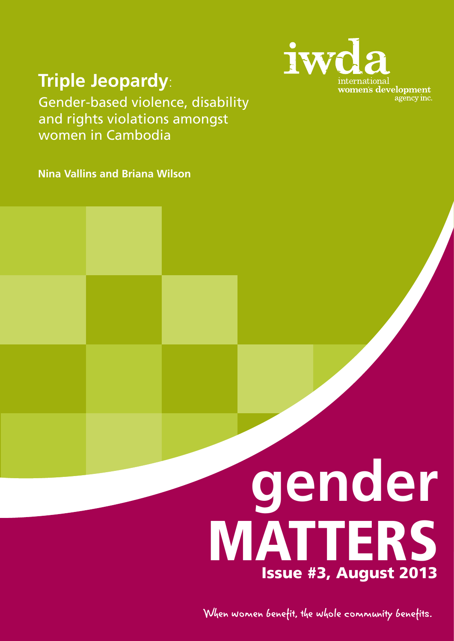

# **Triple Jeopardy**:

Gender-based violence, disability and rights violations amongst women in Cambodia

**Nina Vallins and Briana Wilson**

# **gender** MATTERS Issue #3, August 2013

When women benefit, the whole community benefits.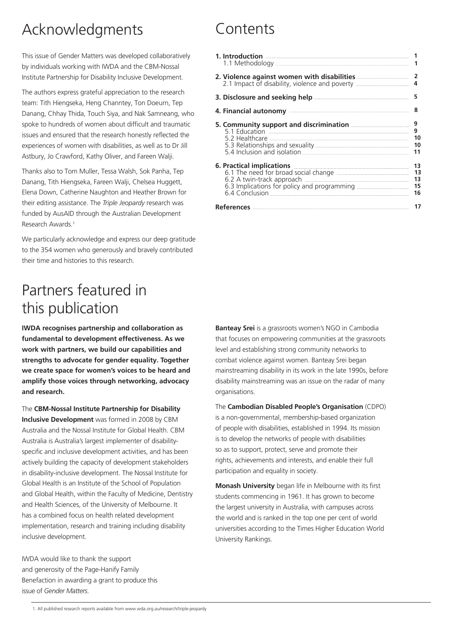# Acknowledgments

This issue of Gender Matters was developed collaboratively by individuals working with IWDA and the CBM-Nossal Institute Partnership for Disability Inclusive Development.

The authors express grateful appreciation to the research team: Tith Hiengseka, Heng Channtey, Ton Doeurn, Tep Danang, Chhay Thida, Touch Siya, and Nak Samneang, who spoke to hundreds of women about difficult and traumatic issues and ensured that the research honestly reflected the experiences of women with disabilities, as well as to Dr Jill Astbury, Jo Crawford, Kathy Oliver, and Fareen Walji.

Thanks also to Tom Muller, Tessa Walsh, Sok Panha, Tep Danang, Tith Hiengseka, Fareen Walji, Chelsea Huggett, Elena Down, Catherine Naughton and Heather Brown for their editing assistance. The *Triple Jeopardy* research was funded by AusAID through the Australian Development Research Awards<sup>1</sup>

We particularly acknowledge and express our deep gratitude to the 354 women who generously and bravely contributed their time and histories to this research.

# Partners featured in this publication

**IWDA recognises partnership and collaboration as fundamental to development effectiveness. As we work with partners, we build our capabilities and strengths to advocate for gender equality. Together we create space for women's voices to be heard and amplify those voices through networking, advocacy and research.**

The **CBM-Nossal Institute Partnership for Disability Inclusive Development** was formed in 2008 by CBM Australia and the Nossal Institute for Global Health. CBM Australia is Australia's largest implementer of disabilityspecific and inclusive development activities, and has been actively building the capacity of development stakeholders in disability-inclusive development. The Nossal Institute for Global Health is an Institute of the School of Population and Global Health, within the Faculty of Medicine, Dentistry and Health Sciences, of the University of Melbourne. It has a combined focus on health related development implementation, research and training including disability inclusive development.

IWDA would like to thank the support and generosity of the Page-Hanify Family Benefaction in awarding a grant to produce this issue of *Gender Matters*.

# Contents

| 2. Violence against women with disabilities <b>Commission Control</b> 2.                                                                                                                                                             | 2<br>4                     |
|--------------------------------------------------------------------------------------------------------------------------------------------------------------------------------------------------------------------------------------|----------------------------|
| 3. Disclosure and seeking help <b>contract to the contract of the set of the contract of the set of the set of the</b>                                                                                                               | 5                          |
| 4. Financial autonomy <b>contract and all the contract of the contract of the contract of the contract of the contract of the contract of the contract of the contract of the contract of the contract of the contract of the co</b> | 8                          |
| 5. Community support and discrimination <b>Manufation</b>                                                                                                                                                                            | 9<br>9<br>10<br>10<br>11   |
| 6. Practical implications<br><u> 1999 - Johann Stein, mars ann an Stein, mar ann an Stein, mar ann an Stein ann an Stein ann an Stein ann an St</u><br>6.1 The need for broad social change                                          | 13<br>13<br>13<br>15<br>16 |
|                                                                                                                                                                                                                                      | 17                         |

**Banteay Srei** is a grassroots women's NGO in Cambodia that focuses on empowering communities at the grassroots level and establishing strong community networks to combat violence against women. Banteay Srei began mainstreaming disability in its work in the late 1990s, before disability mainstreaming was an issue on the radar of many organisations.

The **Cambodian Disabled People's Organisation** (CDPO) is a non-governmental, membership-based organization of people with disabilities, established in 1994. Its mission is to develop the networks of people with disabilities so as to support, protect, serve and promote their rights, achievements and interests, and enable their full participation and equality in society.

**Monash University** began life in Melbourne with its first students commencing in 1961. It has grown to become the largest university in Australia, with campuses across the world and is ranked in the top one per cent of world universities according to the Times Higher Education World University Rankings.

<sup>1.</sup> All published research reports available from www.wda.org.au/research/triple-jeopardy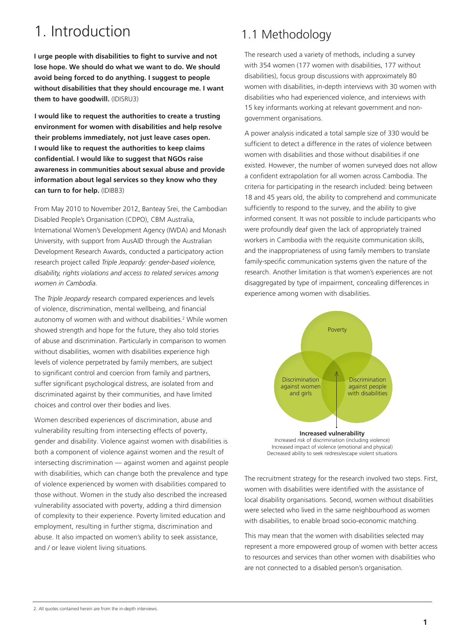# 1. Introduction

**I urge people with disabilities to fight to survive and not lose hope. We should do what we want to do. We should avoid being forced to do anything. I suggest to people without disabilities that they should encourage me. I want them to have goodwill.** (IDISRU3)

**I would like to request the authorities to create a trusting environment for women with disabilities and help resolve their problems immediately, not just leave cases open. I would like to request the authorities to keep claims confidential. I would like to suggest that NGOs raise awareness in communities about sexual abuse and provide information about legal services so they know who they can turn to for help.** (IDIBB3)

From May 2010 to November 2012, Banteay Srei, the Cambodian Disabled People's Organisation (CDPO), CBM Australia, International Women's Development Agency (IWDA) and Monash University, with support from AusAID through the Australian Development Research Awards, conducted a participatory action research project called *Triple Jeopardy: gender-based violence, disability, rights violations and access to related services among women in Cambodia.*

The *Triple Jeopardy* research compared experiences and levels of violence, discrimination, mental wellbeing, and financial autonomy of women with and without disabilities.<sup>2</sup> While women showed strength and hope for the future, they also told stories of abuse and discrimination. Particularly in comparison to women without disabilities, women with disabilities experience high levels of violence perpetrated by family members, are subject to significant control and coercion from family and partners, suffer significant psychological distress, are isolated from and discriminated against by their communities, and have limited choices and control over their bodies and lives.

Women described experiences of discrimination, abuse and vulnerability resulting from intersecting effects of poverty, gender and disability. Violence against women with disabilities is both a component of violence against women and the result of intersecting discrimination — against women and against people with disabilities, which can change both the prevalence and type of violence experienced by women with disabilities compared to those without. Women in the study also described the increased vulnerability associated with poverty, adding a third dimension of complexity to their experience. Poverty limited education and employment, resulting in further stigma, discrimination and abuse. It also impacted on women's ability to seek assistance, and / or leave violent living situations.

### 1.1 Methodology

The research used a variety of methods, including a survey with 354 women (177 women with disabilities, 177 without disabilities), focus group discussions with approximately 80 women with disabilities, in-depth interviews with 30 women with disabilities who had experienced violence, and interviews with 15 key informants working at relevant government and nongovernment organisations.

A power analysis indicated a total sample size of 330 would be sufficient to detect a difference in the rates of violence between women with disabilities and those without disabilities if one existed. However, the number of women surveyed does not allow a confident extrapolation for all women across Cambodia. The criteria for participating in the research included: being between 18 and 45 years old, the ability to comprehend and communicate sufficiently to respond to the survey, and the ability to give informed consent. It was not possible to include participants who were profoundly deaf given the lack of appropriately trained workers in Cambodia with the requisite communication skills, and the inappropriateness of using family members to translate family-specific communication systems given the nature of the research. Another limitation is that women's experiences are not disaggregated by type of impairment, concealing differences in experience among women with disabilities.





The recruitment strategy for the research involved two steps. First, women with disabilities were identified with the assistance of local disability organisations. Second, women without disabilities were selected who lived in the same neighbourhood as women with disabilities, to enable broad socio-economic matching.

This may mean that the women with disabilities selected may represent a more empowered group of women with better access to resources and services than other women with disabilities who are not connected to a disabled person's organisation.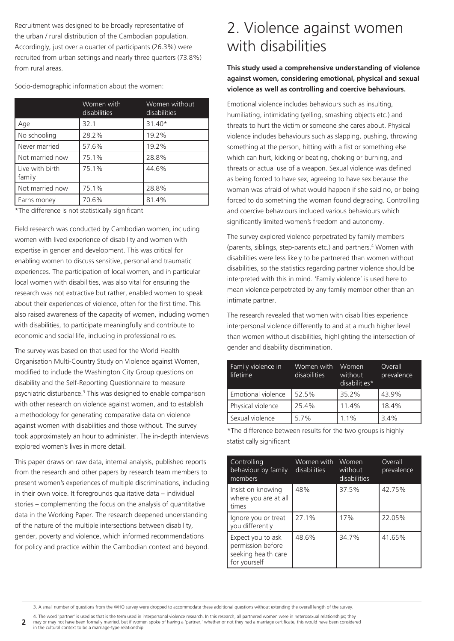Recruitment was designed to be broadly representative of the urban / rural distribution of the Cambodian population. Accordingly, just over a quarter of participants (26.3%) were recruited from urban settings and nearly three quarters (73.8%) from rural areas.

Socio-demographic information about the women:

|                           | Women with<br>disabilities | Women without<br>disabilities |
|---------------------------|----------------------------|-------------------------------|
| Age                       | 32.1                       | $31.40*$                      |
| No schooling              | 28.2%                      | 19.2%                         |
| Never married             | 57.6%                      | 19.2%                         |
| Not married now           | 75.1%                      | 28.8%                         |
| Live with birth<br>family | 75.1%                      | 44.6%                         |
| Not married now           | 75.1%                      | 28.8%                         |
| Earns money               | 70.6%                      | 81.4%                         |

\*The difference is not statistically significant

Field research was conducted by Cambodian women, including women with lived experience of disability and women with expertise in gender and development. This was critical for enabling women to discuss sensitive, personal and traumatic experiences. The participation of local women, and in particular local women with disabilities, was also vital for ensuring the research was not extractive but rather, enabled women to speak about their experiences of violence, often for the first time. This also raised awareness of the capacity of women, including women with disabilities, to participate meaningfully and contribute to economic and social life, including in professional roles.

The survey was based on that used for the World Health Organisation Multi-Country Study on Violence against Women, modified to include the Washington City Group questions on disability and the Self-Reporting Questionnaire to measure psychiatric disturbance.<sup>3</sup> This was designed to enable comparison with other research on violence against women, and to establish a methodology for generating comparative data on violence against women with disabilities and those without. The survey took approximately an hour to administer. The in-depth interviews explored women's lives in more detail.

This paper draws on raw data, internal analysis, published reports from the research and other papers by research team members to present women's experiences of multiple discriminations, including in their own voice. It foregrounds qualitative data – individual stories – complementing the focus on the analysis of quantitative data in the Working Paper. The research deepened understanding of the nature of the multiple intersections between disability, gender, poverty and violence, which informed recommendations for policy and practice within the Cambodian context and beyond.

## 2. Violence against women with disabilities

**This study used a comprehensive understanding of violence against women, considering emotional, physical and sexual violence as well as controlling and coercive behaviours.** 

Emotional violence includes behaviours such as insulting, humiliating, intimidating (yelling, smashing objects etc.) and threats to hurt the victim or someone she cares about. Physical violence includes behaviours such as slapping, pushing, throwing something at the person, hitting with a fist or something else which can hurt, kicking or beating, choking or burning, and threats or actual use of a weapon. Sexual violence was defined as being forced to have sex, agreeing to have sex because the woman was afraid of what would happen if she said no, or being forced to do something the woman found degrading. Controlling and coercive behaviours included various behaviours which significantly limited women's freedom and autonomy.

The survey explored violence perpetrated by family members (parents, siblings, step-parents etc.) and partners.4 Women with disabilities were less likely to be partnered than women without disabilities, so the statistics regarding partner violence should be interpreted with this in mind. 'Family violence' is used here to mean violence perpetrated by any family member other than an intimate partner.

The research revealed that women with disabilities experience interpersonal violence differently to and at a much higher level than women without disabilities, highlighting the intersection of gender and disability discrimination.

| Family violence in<br>lifetime | Women with<br>disabilities | Women<br>without<br>disabilities* | Overall<br>prevalence |
|--------------------------------|----------------------------|-----------------------------------|-----------------------|
| Emotional violence             | 52.5%                      | 35.2%                             | 43.9%                 |
| Physical violence              | 25.4%                      | 11.4%                             | 18.4%                 |
| Sexual violence                | 5.7%                       | 1.1%                              | 3.4%                  |

\*The difference between results for the two groups is highly statistically significant

| Controlling<br>behaviour by family<br>members                                 | Women with<br>disabilities | Women<br>without<br>disabilities | Overall<br>prevalence |
|-------------------------------------------------------------------------------|----------------------------|----------------------------------|-----------------------|
| Insist on knowing<br>where you are at all<br>times                            | 48%                        | 37.5%                            | 42.75%                |
| Ignore you or treat<br>you differently                                        | 27.1%                      | 17%                              | 22.05%                |
| Expect you to ask<br>permission before<br>seeking health care<br>for yourself | 48.6%                      | 34.7%                            | 41.65%                |

3. A small number of questions from the WHO survey were dropped to accommodate these additional questions without extending the overall length of the survey.

**2** 4. The word 'partner' is used as that is the term used in interpersonal violence research. In this research, all partnered women were in heterosexual relationships; they may or may not have been formally married, but if women spoke of having a 'partner,' whether or not they had a marriage certificate, this would have been considered

in the cultural context to be a marriage-type relationship.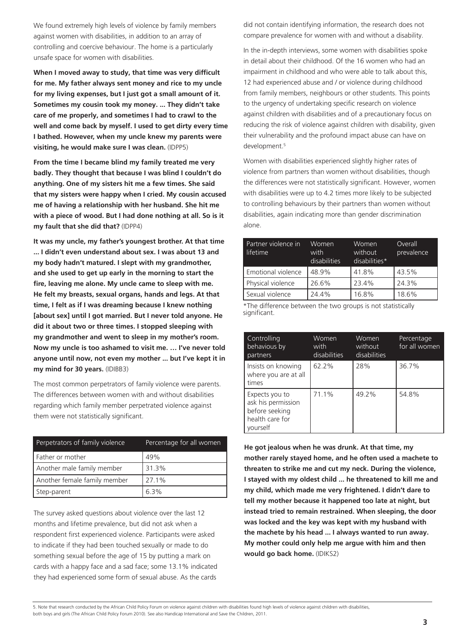We found extremely high levels of violence by family members against women with disabilities, in addition to an array of controlling and coercive behaviour. The home is a particularly unsafe space for women with disabilities.

**When I moved away to study, that time was very difficult for me. My father always sent money and rice to my uncle for my living expenses, but I just got a small amount of it. Sometimes my cousin took my money. ... They didn't take care of me properly, and sometimes I had to crawl to the well and come back by myself. I used to get dirty every time I bathed. However, when my uncle knew my parents were visiting, he would make sure I was clean.** (IDPP5)

**From the time I became blind my family treated me very badly. They thought that because I was blind I couldn't do anything. One of my sisters hit me a few times. She said that my sisters were happy when I cried. My cousin accused me of having a relationship with her husband. She hit me with a piece of wood. But I had done nothing at all. So is it my fault that she did that?** (IDPP4)

**It was my uncle, my father's youngest brother. At that time ... I didn't even understand about sex. I was about 13 and my body hadn't matured. I slept with my grandmother, and she used to get up early in the morning to start the fire, leaving me alone. My uncle came to sleep with me. He felt my breasts, sexual organs, hands and legs. At that time, I felt as if I was dreaming because I knew nothing [about sex] until I got married. But I never told anyone. He did it about two or three times. I stopped sleeping with my grandmother and went to sleep in my mother's room. Now my uncle is too ashamed to visit me. … I've never told anyone until now, not even my mother ... but I've kept it in my mind for 30 years.** (IDIBB3)

The most common perpetrators of family violence were parents. The differences between women with and without disabilities regarding which family member perpetrated violence against them were not statistically significant.

| Perpetrators of family violence | Percentage for all women |
|---------------------------------|--------------------------|
| Father or mother                | 49%                      |
| Another male family member      | 31.3%                    |
| Another female family member    | 27.1%                    |
| Step-parent                     | 63%                      |

The survey asked questions about violence over the last 12 months and lifetime prevalence, but did not ask when a respondent first experienced violence. Participants were asked to indicate if they had been touched sexually or made to do something sexual before the age of 15 by putting a mark on cards with a happy face and a sad face; some 13.1% indicated they had experienced some form of sexual abuse. As the cards

did not contain identifying information, the research does not compare prevalence for women with and without a disability.

In the in-depth interviews, some women with disabilities spoke in detail about their childhood. Of the 16 women who had an impairment in childhood and who were able to talk about this, 12 had experienced abuse and / or violence during childhood from family members, neighbours or other students. This points to the urgency of undertaking specific research on violence against children with disabilities and of a precautionary focus on reducing the risk of violence against children with disability, given their vulnerability and the profound impact abuse can have on development.<sup>5</sup>

Women with disabilities experienced slightly higher rates of violence from partners than women without disabilities, though the differences were not statistically significant. However, women with disabilities were up to 4.2 times more likely to be subjected to controlling behaviours by their partners than women without disabilities, again indicating more than gender discrimination alone.

| Partner violence in<br>lifetime | Women<br>with<br>disabilities | Women<br>without<br>disabilities* | Overall<br>prevalence |
|---------------------------------|-------------------------------|-----------------------------------|-----------------------|
| Emotional violence              | 48.9%                         | 41.8%                             | 43.5%                 |
| Physical violence               | 26.6%                         | 23.4%                             | 24.3%                 |
| Sexual violence                 | 24.4%                         | 16.8%                             | 18.6%                 |

\*The difference between the two groups is not statistically significant.

| Controlling<br>behavious by<br>partners                                               | Women<br>with<br>disabilities | Women<br>without<br>disabilities | Percentage<br>for all women |
|---------------------------------------------------------------------------------------|-------------------------------|----------------------------------|-----------------------------|
| Insists on knowing<br>where you are at all<br>times                                   | 62.2%                         | 28%                              | 36.7%                       |
| Expects you to<br>ask his permission<br>before seeking<br>health care for<br>vourself | 71.1%                         | 49.2%                            | 54.8%                       |

**He got jealous when he was drunk. At that time, my mother rarely stayed home, and he often used a machete to threaten to strike me and cut my neck. During the violence, I stayed with my oldest child ... he threatened to kill me and my child, which made me very frightened. I didn't dare to tell my mother because it happened too late at night, but instead tried to remain restrained. When sleeping, the door was locked and the key was kept with my husband with the machete by his head ... I always wanted to run away. My mother could only help me argue with him and then would go back home.** (IDIKS2)

5. Note that research conducted by the African Child Policy Forum on violence against children with disabilities found high levels of violence against children with disabilities,

both boys and girls (The African Child Policy Forum 2010). See also Handicap International and Save the Children, 2011.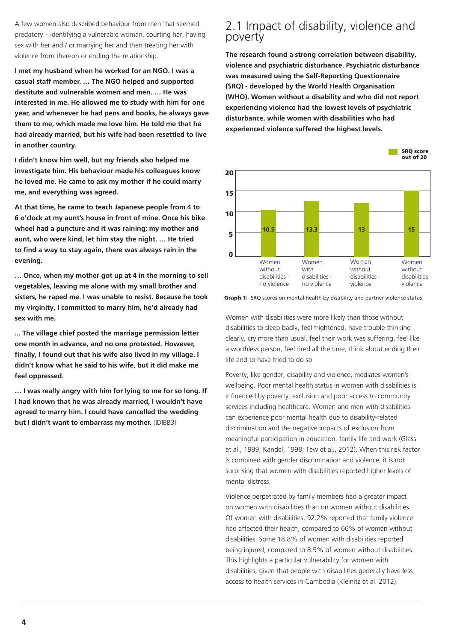A few women also described behaviour from men that seemed predatory – identifying a vulnerable woman, courting her, having sex with her and / or marrying her and then treating her with violence from thereon or ending the relationship.

**I met my husband when he worked for an NGO. I was a casual staff member. … The NGO helped and supported destitute and vulnerable women and men. … He was interested in me. He allowed me to study with him for one year, and whenever he had pens and books, he always gave them to me, which made me love him. He told me that he had already married, but his wife had been resettled to live in another country.** 

**I didn't know him well, but my friends also helped me investigate him. His behaviour made his colleagues know he loved me. He came to ask my mother if he could marry me, and everything was agreed.** 

**At that time, he came to teach Japanese people from 4 to 6 o'clock at my aunt's house in front of mine. Once his bike wheel had a puncture and it was raining; my mother and aunt, who were kind, let him stay the night. … He tried to find a way to stay again, there was always rain in the evening.** 

**… Once, when my mother got up at 4 in the morning to sell vegetables, leaving me alone with my small brother and sisters, he raped me. I was unable to resist. Because he took my virginity, I committed to marry him, he'd already had sex with me.**

**... The village chief posted the marriage permission letter one month in advance, and no one protested. However, finally, I found out that his wife also lived in my village. I didn't know what he said to his wife, but it did make me feel oppressed.** 

**… I was really angry with him for lying to me for so long. If I had known that he was already married, I wouldn't have agreed to marry him. I could have cancelled the wedding but I didn't want to embarrass my mother.** (IDIBB3)

### 2.1 Impact of disability, violence and poverty

**The research found a strong correlation between disability, violence and psychiatric disturbance. Psychiatric disturbance was measured using the Self-Reporting Questionnaire (SRQ) - developed by the World Health Organisation (WHO). Women without a disability and who did not report experiencing violence had the lowest levels of psychiatric disturbance, while women with disabilities who had experienced violence suffered the highest levels.**



**Graph 1:** SRQ scores on mental health by disability and partner violence status

Women with disabilities were more likely than those without disabilities to sleep badly, feel frightened, have trouble thinking clearly, cry more than usual, feel their work was suffering, feel like a worthless person, feel tired all the time, think about ending their life and to have tried to do so.

Poverty, like gender, disability and violence, mediates women's wellbeing. Poor mental health status in women with disabilities is influenced by poverty, exclusion and poor access to community services including healthcare. Women and men with disabilities can experience poor mental health due to disability-related discrimination and the negative impacts of exclusion from meaningful participation in education, family life and work (Glass et al., 1999; Kandel, 1998; Tew et al., 2012). When this risk factor is combined with gender discrimination and violence, it is not surprising that women with disabilities reported higher levels of mental distress.

Violence perpetrated by family members had a greater impact on women with disabilities than on women without disabilities. Of women with disabilities, 92.2% reported that family violence had affected their health, compared to 66% of women without disabilities. Some 18.8% of women with disabilities reported being injured, compared to 8.5% of women without disabilities. This highlights a particular vulnerability for women with disabilities, given that people with disabilities generally have less access to health services in Cambodia (Kleinitz et al. 2012).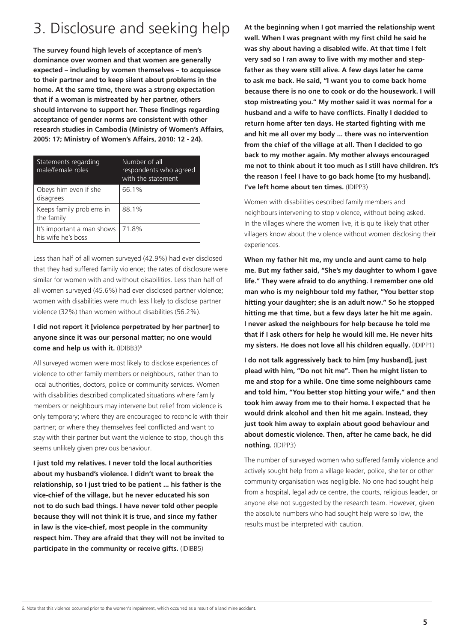# 3. Disclosure and seeking help

**The survey found high levels of acceptance of men's dominance over women and that women are generally expected – including by women themselves – to acquiesce to their partner and to keep silent about problems in the home. At the same time, there was a strong expectation that if a woman is mistreated by her partner, others should intervene to support her. These findings regarding acceptance of gender norms are consistent with other research studies in Cambodia (Ministry of Women's Affairs, 2005: 17; Ministry of Women's Affairs, 2010: 12 - 24).** 

| Statements regarding<br>male/female roles        | Number of all<br>respondents who agreed<br>with the statement |
|--------------------------------------------------|---------------------------------------------------------------|
| Obeys him even if she<br>disagrees               | 66.1%                                                         |
| Keeps family problems in<br>the family           | 88.1%                                                         |
| It's important a man shows<br>his wife he's boss | 71.8%                                                         |

Less than half of all women surveyed (42.9%) had ever disclosed that they had suffered family violence; the rates of disclosure were similar for women with and without disabilities. Less than half of all women surveyed (45.6%) had ever disclosed partner violence; women with disabilities were much less likely to disclose partner violence (32%) than women without disabilities (56.2%).

#### **I did not report it [violence perpetrated by her partner] to anyone since it was our personal matter; no one would come and help us with it.** (IDIBB3)6

All surveyed women were most likely to disclose experiences of violence to other family members or neighbours, rather than to local authorities, doctors, police or community services. Women with disabilities described complicated situations where family members or neighbours may intervene but relief from violence is only temporary; where they are encouraged to reconcile with their partner; or where they themselves feel conflicted and want to stay with their partner but want the violence to stop, though this seems unlikely given previous behaviour.

**I just told my relatives. I never told the local authorities about my husband's violence. I didn't want to break the relationship, so I just tried to be patient ... his father is the vice-chief of the village, but he never educated his son not to do such bad things. I have never told other people because they will not think it is true, and since my father in law is the vice-chief, most people in the community respect him. They are afraid that they will not be invited to participate in the community or receive gifts.** (IDIBB5)

**At the beginning when I got married the relationship went well. When I was pregnant with my first child he said he was shy about having a disabled wife. At that time I felt very sad so I ran away to live with my mother and stepfather as they were still alive. A few days later he came to ask me back. He said, "I want you to come back home because there is no one to cook or do the housework. I will stop mistreating you." My mother said it was normal for a husband and a wife to have conflicts. Finally I decided to return home after ten days. He started fighting with me and hit me all over my body ... there was no intervention from the chief of the village at all. Then I decided to go back to my mother again. My mother always encouraged me not to think about it too much as I still have children. It's the reason I feel I have to go back home [to my husband]. I've left home about ten times.** (IDIPP3)

Women with disabilities described family members and neighbours intervening to stop violence, without being asked. In the villages where the women live, it is quite likely that other villagers know about the violence without women disclosing their experiences.

**When my father hit me, my uncle and aunt came to help me. But my father said, "She's my daughter to whom I gave life." They were afraid to do anything. I remember one old man who is my neighbour told my father, "You better stop hitting your daughter; she is an adult now." So he stopped hitting me that time, but a few days later he hit me again. I never asked the neighbours for help because he told me that if I ask others for help he would kill me. He never hits my sisters. He does not love all his children equally.** (IDIPP1)

**I do not talk aggressively back to him [my husband], just plead with him, "Do not hit me". Then he might listen to me and stop for a while. One time some neighbours came and told him, "You better stop hitting your wife," and then took him away from me to their home. I expected that he would drink alcohol and then hit me again. Instead, they just took him away to explain about good behaviour and about domestic violence. Then, after he came back, he did nothing.** (IDIPP3)

The number of surveyed women who suffered family violence and actively sought help from a village leader, police, shelter or other community organisation was negligible. No one had sought help from a hospital, legal advice centre, the courts, religious leader, or anyone else not suggested by the research team. However, given the absolute numbers who had sought help were so low, the results must be interpreted with caution.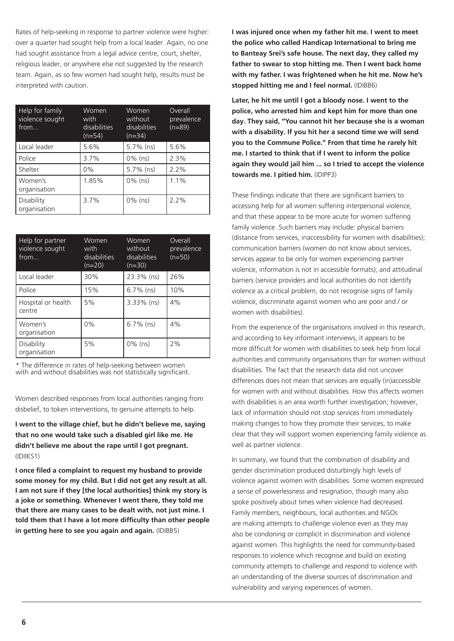Rates of help-seeking in response to partner violence were higher: over a quarter had sought help from a local leader. Again, no one had sought assistance from a legal advice centre, court, shelter, religious leader, or anywhere else not suggested by the research team. Again, as so few women had sought help, results must be interpreted with caution.

| Help for family<br>violence sought<br>from | Women<br>with<br>disabilities<br>$(n=54)$ | Women<br>without<br>disabilities<br>$(n=34)$ | Overall<br>prevalence<br>$(n=89)$ |
|--------------------------------------------|-------------------------------------------|----------------------------------------------|-----------------------------------|
| Local leader                               | 5.6%                                      | 5.7% (ns)                                    | 5.6%                              |
| Police                                     | 3.7%                                      | $0\%$ (ns)                                   | 2.3%                              |
| Shelter                                    | 0%                                        | $5.7\%$ (ns)                                 | 2.2%                              |
| Women's<br>organisation                    | 1.85%                                     | $0\%$ (ns)                                   | 1.1%                              |
| Disability<br>organisation                 | 3.7%                                      | $0\%$ (ns)                                   | 2.2%                              |

| Help for partner<br>violence sought<br>from | <b>Women</b><br>with<br>disabilities<br>$(n=20)$ | Women<br>without<br>disabilities<br>$(n=30)$ | Overall<br>prevalence<br>$(n=50)$ |
|---------------------------------------------|--------------------------------------------------|----------------------------------------------|-----------------------------------|
| Local leader                                | 30%                                              | 23.3% (ns)                                   | 26%                               |
| Police                                      | 15%                                              | $6.7\%$ (ns)                                 | 10%                               |
| Hospital or health<br>centre                | 5%                                               | $3.33\%$ (ns)                                | 4%                                |
| Women's<br>organisation                     | $0\%$                                            | $6.7\%$ (ns)                                 | 4%                                |
| Disability<br>organisation                  | 5%                                               | $0\%$ (ns)                                   | 2%                                |

\* The difference in rates of help-seeking between women with and without disabilities was not statistically significant.

Women described responses from local authorities ranging from disbelief, to token interventions, to genuine attempts to help.

**I went to the village chief, but he didn't believe me, saying that no one would take such a disabled girl like me. He didn't believe me about the rape until I got pregnant.**  (IDIIKS1)

**I once filed a complaint to request my husband to provide some money for my child. But I did not get any result at all. I am not sure if they [the local authorities] think my story is a joke or something. Whenever I went there, they told me that there are many cases to be dealt with, not just mine. I told them that I have a lot more difficulty than other people in getting here to see you again and again.** (IDIBB5)

**I was injured once when my father hit me. I went to meet the police who called Handicap International to bring me to Banteay Srei's safe house. The next day, they called my father to swear to stop hitting me. Then I went back home with my father. I was frightened when he hit me. Now he's stopped hitting me and I feel normal.** (IDIBB6)

**Later, he hit me until I got a bloody nose. I went to the police, who arrested him and kept him for more than one day. They said, "You cannot hit her because she is a woman with a disability. If you hit her a second time we will send you to the Commune Police." From that time he rarely hit me. I started to think that if I went to inform the police again they would jail him ... so I tried to accept the violence towards me. I pitied him.** (IDIPP3)

These findings indicate that there are significant barriers to accessing help for all women suffering interpersonal violence, and that these appear to be more acute for women suffering family violence. Such barriers may include: physical barriers (distance from services, inaccessibility for women with disabilities); communication barriers (women do not know about services, services appear to be only for women experiencing partner violence, information is not in accessible formats); and attitudinal barriers (service providers and local authorities do not identify violence as a critical problem, do not recognise signs of family violence, discriminate against women who are poor and / or women with disabilities).

From the experience of the organisations involved in this research, and according to key informant interviews, it appears to be more difficult for women with disabilities to seek help from local authorities and community organisations than for women without disabilities. The fact that the research data did not uncover differences does not mean that services are equally (in)accessible for women with and without disabilities. How this affects women with disabilities is an area worth further investigation; however, lack of information should not stop services from immediately making changes to how they promote their services, to make clear that they will support women experiencing family violence as well as partner violence.

In summary, we found that the combination of disability and gender discrimination produced disturbingly high levels of violence against women with disabilities. Some women expressed a sense of powerlessness and resignation, though many also spoke positively about times when violence had decreased. Family members, neighbours, local authorities and NGOs are making attempts to challenge violence even as they may also be condoning or complicit in discrimination and violence against women. This highlights the need for community-based responses to violence which recognise and build on existing community attempts to challenge and respond to violence with an understanding of the diverse sources of discrimination and vulnerability and varying experiences of women.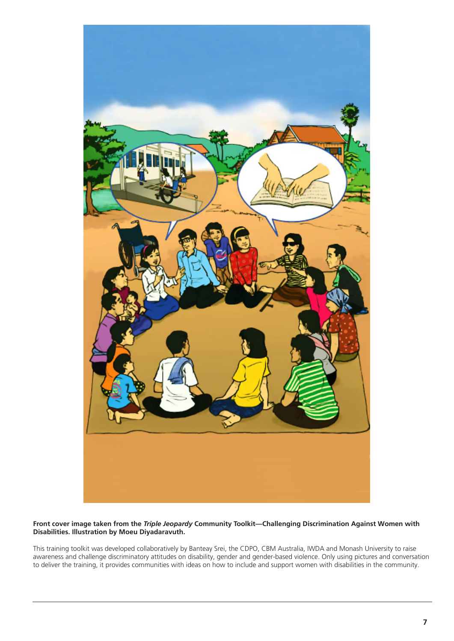

#### **Front cover image taken from the** *Triple Jeopardy* **Community Toolkit—Challenging Discrimination Against Women with Disabilities. Illustration by Moeu Diyadaravuth.**

This training toolkit was developed collaboratively by Banteay Srei, the CDPO, CBM Australia, IWDA and Monash University to raise awareness and challenge discriminatory attitudes on disability, gender and gender-based violence. Only using pictures and conversation to deliver the training, it provides communities with ideas on how to include and support women with disabilities in the community.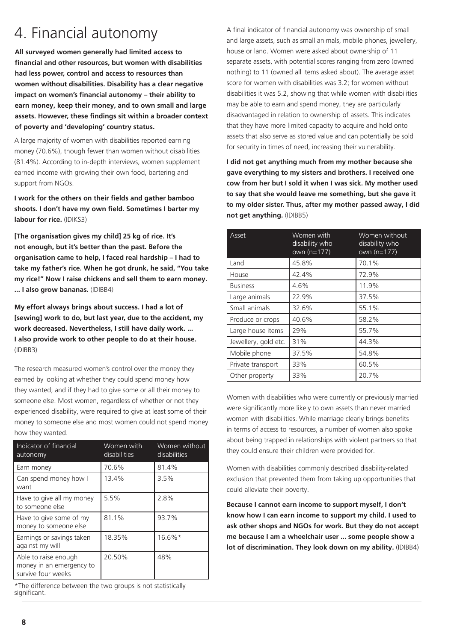**All surveyed women generally had limited access to financial and other resources, but women with disabilities had less power, control and access to resources than women without disabilities. Disability has a clear negative impact on women's financial autonomy – their ability to earn money, keep their money, and to own small and large assets. However, these findings sit within a broader context of poverty and 'developing' country status.** 

A large majority of women with disabilities reported earning money (70.6%), though fewer than women without disabilities (81.4%). According to in-depth interviews, women supplement earned income with growing their own food, bartering and support from NGOs.

**I work for the others on their fields and gather bamboo shoots. I don't have my own field. Sometimes I barter my labour for rice.** (IDIKS3)

**[The organisation gives my child] 25 kg of rice. It's not enough, but it's better than the past. Before the organisation came to help, I faced real hardship – I had to take my father's rice. When he got drunk, he said, "You take my rice!" Now I raise chickens and sell them to earn money. ... I also grow bananas.** (IDIBB4)

**My effort always brings about success. I had a lot of [sewing] work to do, but last year, due to the accident, my work decreased. Nevertheless, I still have daily work. ... I also provide work to other people to do at their house.** (IDIBB3)

The research measured women's control over the money they earned by looking at whether they could spend money how they wanted; and if they had to give some or all their money to someone else. Most women, regardless of whether or not they experienced disability, were required to give at least some of their money to someone else and most women could not spend money how they wanted.

| Indicator of financial<br>autonomy                                     | Women with<br>disabilities | Women without<br>disabilities |
|------------------------------------------------------------------------|----------------------------|-------------------------------|
| Earn money                                                             | 70.6%                      | 81.4%                         |
| Can spend money how I<br>want                                          | 13.4%                      | 3.5%                          |
| Have to give all my money<br>to someone else                           | 5.5%                       | 2.8%                          |
| Have to give some of my<br>money to someone else                       | 81.1%                      | 93.7%                         |
| Earnings or savings taken<br>against my will                           | 18.35%                     | $16.6\%*$                     |
| Able to raise enough<br>money in an emergency to<br>survive four weeks | 20.50%                     | 48%                           |

\*The difference between the two groups is not statistically significant.

4. Financial autonomy A final indicator of financial autonomy was ownership of small<br>and large arcets such as small appear mobile phones involve and large assets, such as small animals, mobile phones, jewellery, house or land. Women were asked about ownership of 11 separate assets, with potential scores ranging from zero (owned nothing) to 11 (owned all items asked about). The average asset score for women with disabilities was 3.2; for women without disabilities it was 5.2, showing that while women with disabilities may be able to earn and spend money, they are particularly disadvantaged in relation to ownership of assets. This indicates that they have more limited capacity to acquire and hold onto assets that also serve as stored value and can potentially be sold for security in times of need, increasing their vulnerability.

> **I did not get anything much from my mother because she gave everything to my sisters and brothers. I received one cow from her but I sold it when I was sick. My mother used to say that she would leave me something, but she gave it to my older sister. Thus, after my mother passed away, I did not get anything.** (IDIBB5)

| Asset                | Women with<br>disability who<br>own $(n=177)$ | Women without<br>disability who<br>own $(n=177)$ |
|----------------------|-----------------------------------------------|--------------------------------------------------|
| Land                 | 45.8%                                         | 70.1%                                            |
| House                | 42.4%                                         | 72.9%                                            |
| <b>Business</b>      | 4.6%                                          | 11.9%                                            |
| Large animals        | 22.9%                                         | 37.5%                                            |
| Small animals        | 32.6%                                         | 55.1%                                            |
| Produce or crops     | 40.6%                                         | 58.2%                                            |
| Large house items    | 29%                                           | 55.7%                                            |
| Jewellery, gold etc. | 31%                                           | 44.3%                                            |
| Mobile phone         | 37.5%                                         | 54.8%                                            |
| Private transport    | 33%                                           | 60.5%                                            |
| Other property       | 33%                                           | 20.7%                                            |

Women with disabilities who were currently or previously married were significantly more likely to own assets than never married women with disabilities. While marriage clearly brings benefits in terms of access to resources, a number of women also spoke about being trapped in relationships with violent partners so that they could ensure their children were provided for.

Women with disabilities commonly described disability-related exclusion that prevented them from taking up opportunities that could alleviate their poverty.

**Because I cannot earn income to support myself, I don't know how I can earn income to support my child. I used to ask other shops and NGOs for work. But they do not accept me because I am a wheelchair user ... some people show a lot of discrimination. They look down on my ability.** (IDIBB4)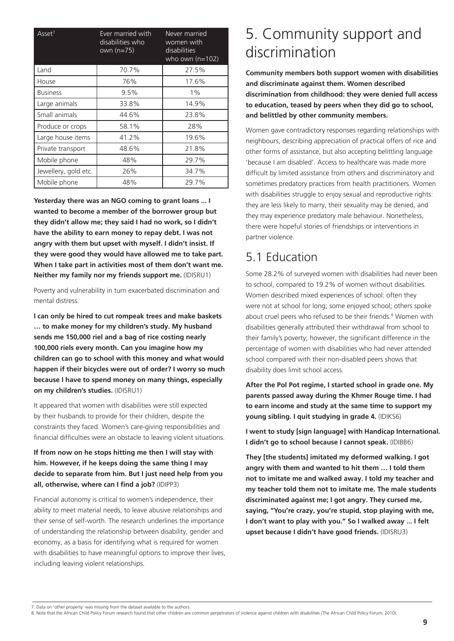| Asset <sup>7</sup>   | Ever married with<br>disabilities who<br>own (n=75) | Never married<br>women with<br>disabilities<br>who own $(n=102)$ |
|----------------------|-----------------------------------------------------|------------------------------------------------------------------|
| Land                 | 70.7%                                               | 27.5%                                                            |
| House                | 76%                                                 | 17.6%                                                            |
| <b>Business</b>      | 9.5%                                                | $1\%$                                                            |
| Large animals        | 33.8%                                               | 14.9%                                                            |
| Small animals        | 44.6%                                               | 23.8%                                                            |
| Produce or crops     | 58.1%                                               | 28%                                                              |
| Large house items    | 41.2%                                               | 19.6%                                                            |
| Private transport    | 48.6%                                               | 21.8%                                                            |
| Mobile phone         | 48%                                                 | 29.7%                                                            |
| Jewellery, gold etc. | 26%                                                 | 34.7%                                                            |
| Mobile phone         | 48%                                                 | 29.7%                                                            |

**Yesterday there was an NGO coming to grant loans ... I wanted to become a member of the borrower group but they didn't allow me; they said I had no work, so I didn't have the ability to earn money to repay debt. I was not angry with them but upset with myself. I didn't insist. If they were good they would have allowed me to take part. When I take part in activities most of them don't want me. Neither my family nor my friends support me.** (IDISRU1)

Poverty and vulnerability in turn exacerbated discrimination and mental distress.

**I can only be hired to cut rompeak trees and make baskets … to make money for my children's study. My husband sends me 150,000 riel and a bag of rice costing nearly 100,000 riels every month. Can you imagine how my children can go to school with this money and what would happen if their bicycles were out of order? I worry so much because I have to spend money on many things, especially on my children's studies.** (IDISRU1)

It appeared that women with disabilities were still expected by their husbands to provide for their children, despite the constraints they faced. Women's care-giving responsibilities and financial difficulties were an obstacle to leaving violent situations.

#### **If from now on he stops hitting me then I will stay with him. However, if he keeps doing the same thing I may decide to separate from him. But I just need help from you all, otherwise, where can I find a job?** (IDIPP3)

Financial autonomy is critical to women's independence, their ability to meet material needs, to leave abusive relationships and their sense of self-worth. The research underlines the importance of understanding the relationship between disability, gender and economy, as a basis for identifying what is required for women with disabilities to have meaningful options to improve their lives, including leaving violent relationships.

# 5. Community support and discrimination

**Community members both support women with disabilities and discriminate against them. Women described discrimination from childhood: they were denied full access to education, teased by peers when they did go to school, and belittled by other community members.** 

Women gave contradictory responses regarding relationships with neighbours, describing appreciation of practical offers of rice and other forms of assistance, but also accepting belittling language 'because I am disabled'. Access to healthcare was made more difficult by limited assistance from others and discriminatory and sometimes predatory practices from health practitioners. Women with disabilities struggle to enjoy sexual and reproductive rights: they are less likely to marry, their sexuality may be denied, and they may experience predatory male behaviour. Nonetheless, there were hopeful stories of friendships or interventions in partner violence.

### 5.1 Education

Some 28.2% of surveyed women with disabilities had never been to school, compared to 19.2% of women without disabilities. Women described mixed experiences of school: often they were not at school for long; some enjoyed school; others spoke about cruel peers who refused to be their friends.<sup>8</sup> Women with disabilities generally attributed their withdrawal from school to their family's poverty; however, the significant difference in the percentage of women with disabilities who had never attended school compared with their non-disabled peers shows that disability does limit school access.

**After the Pol Pot regime, I started school in grade one. My parents passed away during the Khmer Rouge time. I had to earn income and study at the same time to support my young sibling. I quit studying in grade 4.** (IDIKS6)

**I went to study [sign language] with Handicap International. I didn't go to school because I cannot speak.** (IDIBB6)

**They [the students] imitated my deformed walking. I got angry with them and wanted to hit them … I told them not to imitate me and walked away. I told my teacher and my teacher told them not to imitate me. The male students discriminated against me; I got angry. They cursed me, saying, "You're crazy, you're stupid, stop playing with me, I don't want to play with you." So I walked away ... I felt upset because I didn't have good friends.** (IDISRU3)

7. Data on 'other property' was missing from the dataset available to the authors.

```
8. Note that the African Child Policy Forum research found that other children are common perpetrators of violence against children with disabilities (The African Child Policy Forum, 2010).
```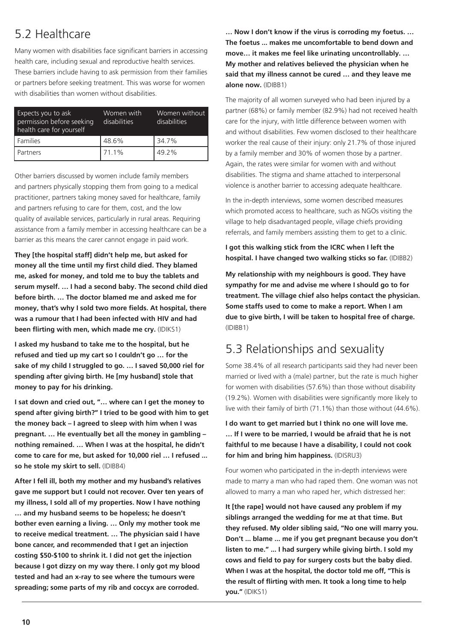### 5.2 Healthcare

Many women with disabilities face significant barriers in accessing health care, including sexual and reproductive health services. These barriers include having to ask permission from their families or partners before seeking treatment. This was worse for women with disabilities than women without disabilities.

| Expects you to ask<br>permission before seeking<br>health care for yourself | Women with<br>disabilities | Women without<br>disabilities |
|-----------------------------------------------------------------------------|----------------------------|-------------------------------|
| l Families                                                                  | 48.6%                      | 34.7%                         |
| l Partners                                                                  | 71.1%                      | 49.2%                         |

Other barriers discussed by women include family members and partners physically stopping them from going to a medical practitioner, partners taking money saved for healthcare, family and partners refusing to care for them, cost, and the low quality of available services, particularly in rural areas. Requiring assistance from a family member in accessing healthcare can be a barrier as this means the carer cannot engage in paid work.

**They [the hospital staff] didn't help me, but asked for money all the time until my first child died. They blamed me, asked for money, and told me to buy the tablets and serum myself. … I had a second baby. The second child died before birth. … The doctor blamed me and asked me for money, that's why I sold two more fields. At hospital, there was a rumour that I had been infected with HIV and had been flirting with men, which made me cry.** (IDIKS1)

**I asked my husband to take me to the hospital, but he refused and tied up my cart so I couldn't go … for the sake of my child I struggled to go. … I saved 50,000 riel for spending after giving birth. He [my husband] stole that money to pay for his drinking.** 

**I sat down and cried out, "… where can I get the money to spend after giving birth?" I tried to be good with him to get the money back – I agreed to sleep with him when I was pregnant. … He eventually bet all the money in gambling – nothing remained. … When I was at the hospital, he didn't come to care for me, but asked for 10,000 riel … I refused ... so he stole my skirt to sell.** (IDIBB4)

**After I fell ill, both my mother and my husband's relatives gave me support but I could not recover. Over ten years of my illness, I sold all of my properties. Now I have nothing … and my husband seems to be hopeless; he doesn't bother even earning a living. … Only my mother took me to receive medical treatment. … The physician said I have bone cancer, and recommended that I get an injection costing \$50-\$100 to shrink it. I did not get the injection because I got dizzy on my way there. I only got my blood tested and had an x-ray to see where the tumours were spreading; some parts of my rib and coccyx are corroded.** 

**… Now I don't know if the virus is corroding my foetus. … The foetus ... makes me uncomfortable to bend down and move… it makes me feel like urinating uncontrollably. … My mother and relatives believed the physician when he said that my illness cannot be cured … and they leave me alone now.** (IDIBB1)

The majority of all women surveyed who had been injured by a partner (68%) or family member (82.9%) had not received health care for the injury, with little difference between women with and without disabilities. Few women disclosed to their healthcare worker the real cause of their injury: only 21.7% of those injured by a family member and 30% of women those by a partner. Again, the rates were similar for women with and without disabilities. The stigma and shame attached to interpersonal violence is another barrier to accessing adequate healthcare.

In the in-depth interviews, some women described measures which promoted access to healthcare, such as NGOs visiting the village to help disadvantaged people, village chiefs providing referrals, and family members assisting them to get to a clinic.

**I got this walking stick from the ICRC when I left the hospital. I have changed two walking sticks so far.** (IDIBB2)

**My relationship with my neighbours is good. They have sympathy for me and advise me where I should go to for treatment. The village chief also helps contact the physician. Some staffs used to come to make a report. When I am due to give birth, I will be taken to hospital free of charge.**  (IDIBB1)

### 5.3 Relationships and sexuality

Some 38.4% of all research participants said they had never been married or lived with a (male) partner, but the rate is much higher for women with disabilities (57.6%) than those without disability (19.2%). Women with disabilities were significantly more likely to live with their family of birth (71.1%) than those without (44.6%).

**I do want to get married but I think no one will love me. … If I were to be married, I would be afraid that he is not faithful to me because I have a disability, I could not cook for him and bring him happiness.** (IDISRU3)

Four women who participated in the in-depth interviews were made to marry a man who had raped them. One woman was not allowed to marry a man who raped her, which distressed her:

**It [the rape] would not have caused any problem if my siblings arranged the wedding for me at that time. But they refused. My older sibling said, "No one will marry you. Don't ... blame ... me if you get pregnant because you don't listen to me." ... I had surgery while giving birth. I sold my cows and field to pay for surgery costs but the baby died. When I was at the hospital, the doctor told me off, "This is the result of flirting with men. It took a long time to help you."** (IDIKS1)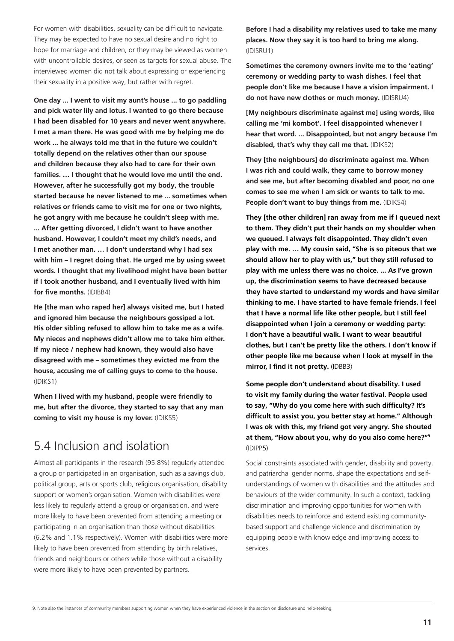For women with disabilities, sexuality can be difficult to navigate. They may be expected to have no sexual desire and no right to hope for marriage and children, or they may be viewed as women with uncontrollable desires, or seen as targets for sexual abuse. The interviewed women did not talk about expressing or experiencing their sexuality in a positive way, but rather with regret.

**One day ... I went to visit my aunt's house ... to go paddling and pick water lily and lotus. I wanted to go there because I had been disabled for 10 years and never went anywhere. I met a man there. He was good with me by helping me do work ... he always told me that in the future we couldn't totally depend on the relatives other than our spouse and children because they also had to care for their own families. … I thought that he would love me until the end. However, after he successfully got my body, the trouble started because he never listened to me ... sometimes when relatives or friends came to visit me for one or two nights, he got angry with me because he couldn't sleep with me. ... After getting divorced, I didn't want to have another husband. However, I couldn't meet my child's needs, and I met another man. … I don't understand why I had sex with him – I regret doing that. He urged me by using sweet words. I thought that my livelihood might have been better if I took another husband, and I eventually lived with him for five months.** (IDIBB4)

**He [the man who raped her] always visited me, but I hated and ignored him because the neighbours gossiped a lot. His older sibling refused to allow him to take me as a wife. My nieces and nephews didn't allow me to take him either. If my niece / nephew had known, they would also have disagreed with me – sometimes they evicted me from the house, accusing me of calling guys to come to the house.** (IDIKS1)

**When I lived with my husband, people were friendly to me, but after the divorce, they started to say that any man coming to visit my house is my lover.** (IDIKS5)

### 5.4 Inclusion and isolation

Almost all participants in the research (95.8%) regularly attended a group or participated in an organisation, such as a savings club, political group, arts or sports club, religious organisation, disability support or women's organisation. Women with disabilities were less likely to regularly attend a group or organisation, and were more likely to have been prevented from attending a meeting or participating in an organisation than those without disabilities (6.2% and 1.1% respectively). Women with disabilities were more likely to have been prevented from attending by birth relatives, friends and neighbours or others while those without a disability were more likely to have been prevented by partners.

**Before I had a disability my relatives used to take me many places. Now they say it is too hard to bring me along.**  (IDISRU1)

**Sometimes the ceremony owners invite me to the 'eating' ceremony or wedding party to wash dishes. I feel that people don't like me because I have a vision impairment. I do not have new clothes or much money.** (IDISRU4)

**[My neighbours discriminate against me] using words, like calling me 'mi kombot'. I feel disappointed whenever I hear that word. ... Disappointed, but not angry because I'm disabled, that's why they call me that.** (IDIKS2)

**They [the neighbours] do discriminate against me. When I was rich and could walk, they came to borrow money and see me, but after becoming disabled and poor, no one comes to see me when I am sick or wants to talk to me. People don't want to buy things from me.** (IDIKS4)

**They [the other children] ran away from me if I queued next to them. They didn't put their hands on my shoulder when we queued. I always felt disappointed. They didn't even play with me. … My cousin said, "She is so piteous that we should allow her to play with us," but they still refused to play with me unless there was no choice. ... As I've grown up, the discrimination seems to have decreased because they have started to understand my words and have similar thinking to me. I have started to have female friends. I feel that I have a normal life like other people, but I still feel disappointed when I join a ceremony or wedding party: I don't have a beautiful walk. I want to wear beautiful clothes, but I can't be pretty like the others. I don't know if other people like me because when I look at myself in the mirror, I find it not pretty.** (IDBB3)

**Some people don't understand about disability. I used to visit my family during the water festival. People used to say, "Why do you come here with such difficulty? It's difficult to assist you, you better stay at home." Although I was ok with this, my friend got very angry. She shouted at them, "How about you, why do you also come here?"9** (IDIPP5)

Social constraints associated with gender, disability and poverty, and patriarchal gender norms, shape the expectations and selfunderstandings of women with disabilities and the attitudes and behaviours of the wider community. In such a context, tackling discrimination and improving opportunities for women with disabilities needs to reinforce and extend existing communitybased support and challenge violence and discrimination by equipping people with knowledge and improving access to services.

9. Note also the instances of community members supporting women when they have experienced violence in the section on disclosure and help-seeking.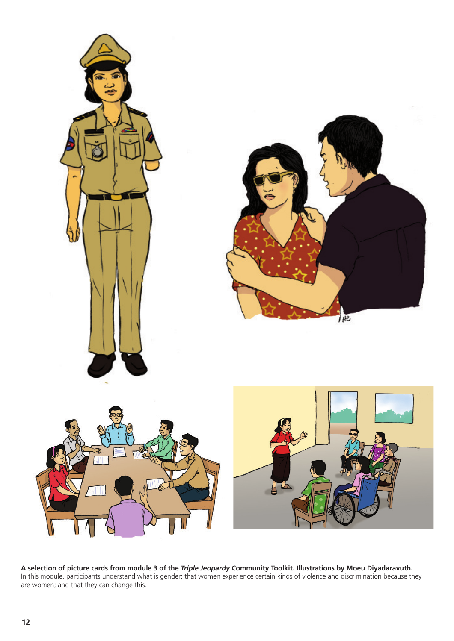

**A selection of picture cards from module 3 of the** *Triple Jeopardy* **Community Toolkit. Illustrations by Moeu Diyadaravuth.**  In this module, participants understand what is gender; that women experience certain kinds of violence and discrimination because they are women; and that they can change this.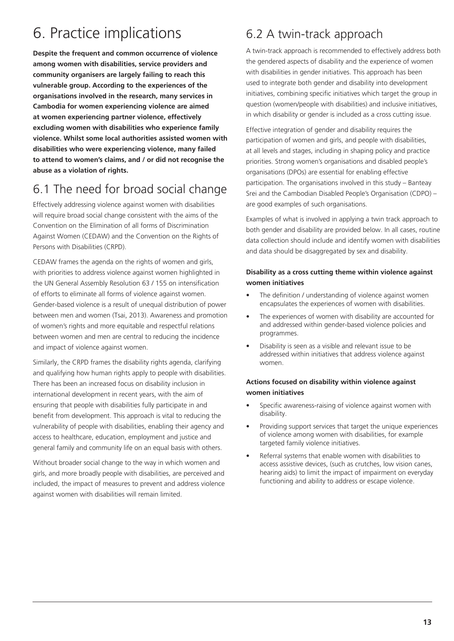# 6. Practice implications

**Despite the frequent and common occurrence of violence among women with disabilities, service providers and community organisers are largely failing to reach this vulnerable group. According to the experiences of the organisations involved in the research, many services in Cambodia for women experiencing violence are aimed at women experiencing partner violence, effectively excluding women with disabilities who experience family violence. Whilst some local authorities assisted women with disabilities who were experiencing violence, many failed to attend to women's claims, and / or did not recognise the abuse as a violation of rights.** 

### 6.1 The need for broad social change

Effectively addressing violence against women with disabilities will require broad social change consistent with the aims of the Convention on the Elimination of all forms of Discrimination Against Women (CEDAW) and the Convention on the Rights of Persons with Disabilities (CRPD).

CEDAW frames the agenda on the rights of women and girls, with priorities to address violence against women highlighted in the UN General Assembly Resolution 63 / 155 on intensification of efforts to eliminate all forms of violence against women. Gender-based violence is a result of unequal distribution of power between men and women (Tsai, 2013). Awareness and promotion of women's rights and more equitable and respectful relations between women and men are central to reducing the incidence and impact of violence against women.

Similarly, the CRPD frames the disability rights agenda, clarifying and qualifying how human rights apply to people with disabilities. There has been an increased focus on disability inclusion in international development in recent years, with the aim of ensuring that people with disabilities fully participate in and benefit from development. This approach is vital to reducing the vulnerability of people with disabilities, enabling their agency and access to healthcare, education, employment and justice and general family and community life on an equal basis with others.

Without broader social change to the way in which women and girls, and more broadly people with disabilities, are perceived and included, the impact of measures to prevent and address violence against women with disabilities will remain limited.

### 6.2 A twin-track approach

A twin-track approach is recommended to effectively address both the gendered aspects of disability and the experience of women with disabilities in gender initiatives. This approach has been used to integrate both gender and disability into development initiatives, combining specific initiatives which target the group in question (women/people with disabilities) and inclusive initiatives, in which disability or gender is included as a cross cutting issue.

Effective integration of gender and disability requires the participation of women and girls, and people with disabilities, at all levels and stages, including in shaping policy and practice priorities. Strong women's organisations and disabled people's organisations (DPOs) are essential for enabling effective participation. The organisations involved in this study – Banteay Srei and the Cambodian Disabled People's Organisation (CDPO) – are good examples of such organisations.

Examples of what is involved in applying a twin track approach to both gender and disability are provided below. In all cases, routine data collection should include and identify women with disabilities and data should be disaggregated by sex and disability.

#### **Disability as a cross cutting theme within violence against women initiatives**

- The definition / understanding of violence against women encapsulates the experiences of women with disabilities.
- The experiences of women with disability are accounted for and addressed within gender-based violence policies and programmes.
- Disability is seen as a visible and relevant issue to be addressed within initiatives that address violence against women.

#### **Actions focused on disability within violence against women initiatives**

- Specific awareness-raising of violence against women with disability.
- Providing support services that target the unique experiences of violence among women with disabilities, for example targeted family violence initiatives.
- Referral systems that enable women with disabilities to access assistive devices, (such as crutches, low vision canes, hearing aids) to limit the impact of impairment on everyday functioning and ability to address or escape violence.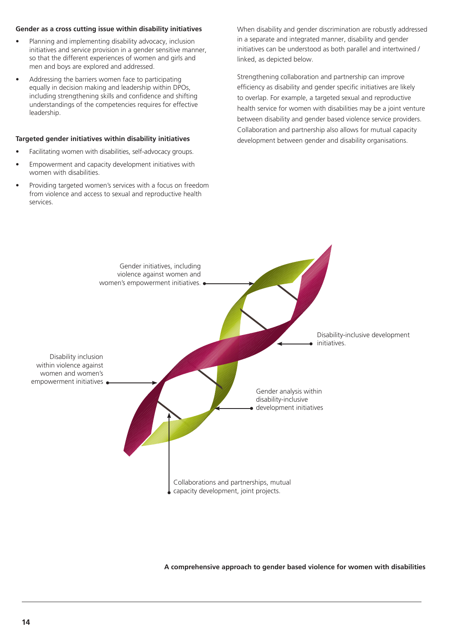#### **Gender as a cross cutting issue within disability initiatives**

- Planning and implementing disability advocacy, inclusion initiatives and service provision in a gender sensitive manner, so that the different experiences of women and girls and men and boys are explored and addressed.
- Addressing the barriers women face to participating equally in decision making and leadership within DPOs, including strengthening skills and confidence and shifting understandings of the competencies requires for effective leadership.

#### **Targeted gender initiatives within disability initiatives**

- Facilitating women with disabilities, self-advocacy groups.
- Empowerment and capacity development initiatives with women with disabilities.
- Providing targeted women's services with a focus on freedom from violence and access to sexual and reproductive health services.

When disability and gender discrimination are robustly addressed in a separate and integrated manner, disability and gender initiatives can be understood as both parallel and intertwined / linked, as depicted below.

Strengthening collaboration and partnership can improve efficiency as disability and gender specific initiatives are likely to overlap. For example, a targeted sexual and reproductive health service for women with disabilities may be a joint venture between disability and gender based violence service providers. Collaboration and partnership also allows for mutual capacity development between gender and disability organisations.



**A comprehensive approach to gender based violence for women with disabilities**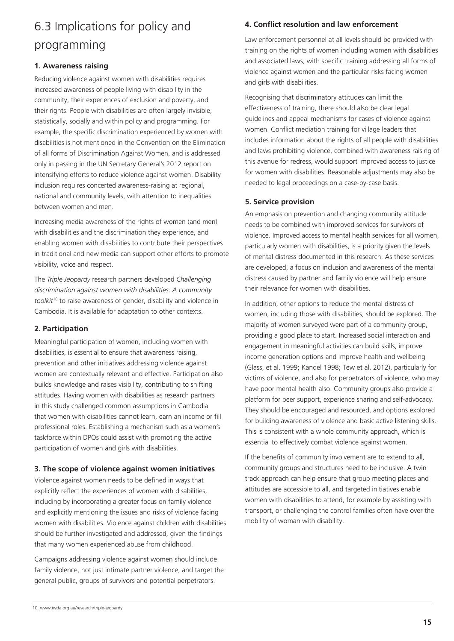### 6.3 Implications for policy and programming

#### **1. Awareness raising**

Reducing violence against women with disabilities requires increased awareness of people living with disability in the community, their experiences of exclusion and poverty, and their rights. People with disabilities are often largely invisible, statistically, socially and within policy and programming. For example, the specific discrimination experienced by women with disabilities is not mentioned in the Convention on the Elimination of all forms of Discrimination Against Women, and is addressed only in passing in the UN Secretary General's 2012 report on intensifying efforts to reduce violence against women. Disability inclusion requires concerted awareness-raising at regional, national and community levels, with attention to inequalities between women and men.

Increasing media awareness of the rights of women (and men) with disabilities and the discrimination they experience, and enabling women with disabilities to contribute their perspectives in traditional and new media can support other efforts to promote visibility, voice and respect.

The *Triple Jeopardy* research partners developed *Challenging discrimination against women with disabilities: A community toolkit*10 to raise awareness of gender, disability and violence in Cambodia. It is available for adaptation to other contexts.

#### **2. Participation**

Meaningful participation of women, including women with disabilities, is essential to ensure that awareness raising, prevention and other initiatives addressing violence against women are contextually relevant and effective. Participation also builds knowledge and raises visibility, contributing to shifting attitudes. Having women with disabilities as research partners in this study challenged common assumptions in Cambodia that women with disabilities cannot learn, earn an income or fill professional roles. Establishing a mechanism such as a women's taskforce within DPOs could assist with promoting the active participation of women and girls with disabilities.

#### **3. The scope of violence against women initiatives**

Violence against women needs to be defined in ways that explicitly reflect the experiences of women with disabilities, including by incorporating a greater focus on family violence and explicitly mentioning the issues and risks of violence facing women with disabilities. Violence against children with disabilities should be further investigated and addressed, given the findings that many women experienced abuse from childhood.

Campaigns addressing violence against women should include family violence, not just intimate partner violence, and target the general public, groups of survivors and potential perpetrators.

#### **4. Conflict resolution and law enforcement**

Law enforcement personnel at all levels should be provided with training on the rights of women including women with disabilities and associated laws, with specific training addressing all forms of violence against women and the particular risks facing women and girls with disabilities.

Recognising that discriminatory attitudes can limit the effectiveness of training, there should also be clear legal guidelines and appeal mechanisms for cases of violence against women. Conflict mediation training for village leaders that includes information about the rights of all people with disabilities and laws prohibiting violence, combined with awareness raising of this avenue for redress, would support improved access to justice for women with disabilities. Reasonable adjustments may also be needed to legal proceedings on a case-by-case basis.

#### **5. Service provision**

An emphasis on prevention and changing community attitude needs to be combined with improved services for survivors of violence. Improved access to mental health services for all women, particularly women with disabilities, is a priority given the levels of mental distress documented in this research. As these services are developed, a focus on inclusion and awareness of the mental distress caused by partner and family violence will help ensure their relevance for women with disabilities.

In addition, other options to reduce the mental distress of women, including those with disabilities, should be explored. The majority of women surveyed were part of a community group, providing a good place to start. Increased social interaction and engagement in meaningful activities can build skills, improve income generation options and improve health and wellbeing (Glass, et al. 1999; Kandel 1998; Tew et al, 2012), particularly for victims of violence, and also for perpetrators of violence, who may have poor mental health also. Community groups also provide a platform for peer support, experience sharing and self-advocacy. They should be encouraged and resourced, and options explored for building awareness of violence and basic active listening skills. This is consistent with a whole community approach, which is essential to effectively combat violence against women.

If the benefits of community involvement are to extend to all, community groups and structures need to be inclusive. A twin track approach can help ensure that group meeting places and attitudes are accessible to all, and targeted initiatives enable women with disabilities to attend, for example by assisting with transport, or challenging the control families often have over the mobility of woman with disability.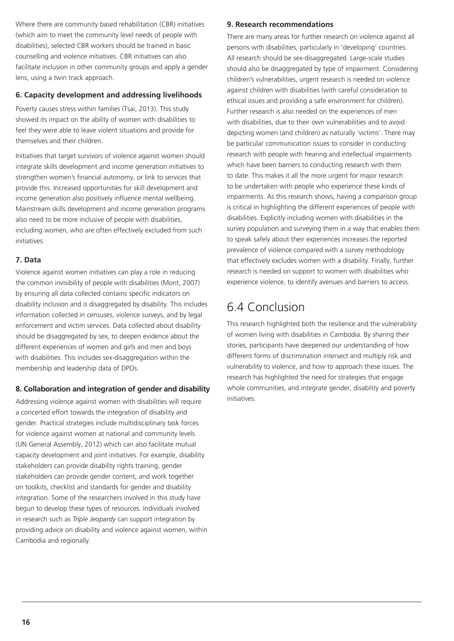Where there are community based rehabilitation (CBR) initiatives (which aim to meet the community level needs of people with disabilities), selected CBR workers should be trained in basic counselling and violence initiatives. CBR initiatives can also facilitate inclusion in other community groups and apply a gender lens, using a twin track approach.

#### **6. Capacity development and addressing livelihoods**

Poverty causes stress within families (Tsai, 2013). This study showed its impact on the ability of women with disabilities to feel they were able to leave violent situations and provide for themselves and their children.

Initiatives that target survivors of violence against women should integrate skills development and income generation initiatives to strengthen women's financial autonomy, or link to services that provide this. Increased opportunities for skill development and income generation also positively influence mental wellbeing. Mainstream skills development and income generation programs also need to be more inclusive of people with disabilities, including women, who are often effectively excluded from such initiatives.

#### **7. Data**

Violence against women initiatives can play a role in reducing the common invisibility of people with disabilities (Mont, 2007) by ensuring all data collected contains specific indicators on disability inclusion and is disaggregated by disability. This includes information collected in censuses, violence surveys, and by legal enforcement and victim services. Data collected about disability should be disaggregated by sex, to deepen evidence about the different experiences of women and girls and men and boys with disabilities. This includes sex-disaggregation within the membership and leadership data of DPOs.

#### **8. Collaboration and integration of gender and disability**

Addressing violence against women with disabilities will require a concerted effort towards the integration of disability and gender. Practical strategies include multidisciplinary task forces for violence against women at national and community levels (UN General Assembly, 2012) which can also facilitate mutual capacity development and joint initiatives. For example, disability stakeholders can provide disability rights training, gender stakeholders can provide gender content, and work together on toolkits, checklist and standards for gender and disability integration. Some of the researchers involved in this study have begun to develop these types of resources. Individuals involved in research such as *Triple Jeopardy* can support integration by providing advice on disability and violence against women, within Cambodia and regionally.

#### **9. Research recommendations**

There are many areas for further research on violence against all persons with disabilities, particularly in 'developing' countries. All research should be sex-disaggregated. Large-scale studies should also be disaggregated by type of impairment. Considering children's vulnerabilities, urgent research is needed on violence against children with disabilities (with careful consideration to ethical issues and providing a safe environment for children). Further research is also needed on the experiences of men with disabilities, due to their own vulnerabilities and to avoid depicting women (and children) as naturally 'victims'. There may be particular communication issues to consider in conducting research with people with hearing and intellectual impairments which have been barriers to conducting research with them to date. This makes it all the more urgent for major research to be undertaken with people who experience these kinds of impairments. As this research shows, having a comparison group is critical in highlighting the different experiences of people with disabilities. Explicitly including women with disabilities in the survey population and surveying them in a way that enables them to speak safely about their experiences increases the reported prevalence of violence compared with a survey methodology that effectively excludes women with a disability. Finally, further research is needed on support to women with disabilities who experience violence, to identify avenues and barriers to access.

### 6.4 Conclusion

This research highlighted both the resilience and the vulnerability of women living with disabilities in Cambodia. By sharing their stories, participants have deepened our understanding of how different forms of discrimination intersect and multiply risk and vulnerability to violence, and how to approach these issues. The research has highlighted the need for strategies that engage whole communities, and integrate gender, disability and poverty initiatives.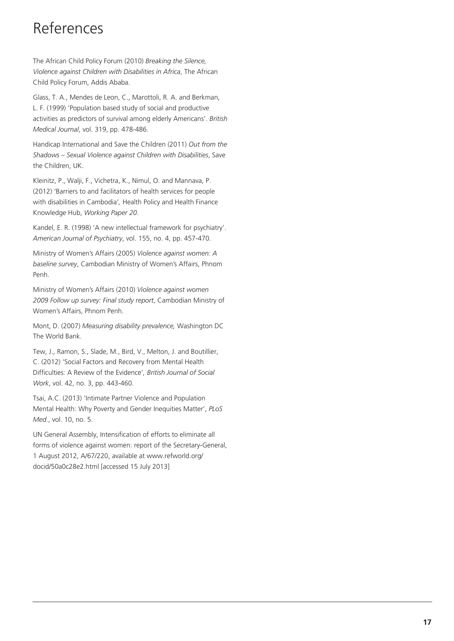# References

The African Child Policy Forum (2010) *Breaking the Silence, Violence against Children with Disabilities in Africa*, The African Child Policy Forum, Addis Ababa.

Glass, T. A., Mendes de Leon, C., Marottoli, R. A. and Berkman, L. F. (1999) 'Population based study of social and productive activities as predictors of survival among elderly Americans'. *British Medical Journal*, vol. 319, pp. 478-486.

Handicap International and Save the Children (2011) *Out from the Shadows – Sexual Violence against Children with Disabilities*, Save the Children, UK.

Kleinitz, P., Walji, F., Vichetra, K., Nimul, O. and Mannava, P. (2012) 'Barriers to and facilitators of health services for people with disabilities in Cambodia'*,* Health Policy and Health Finance Knowledge Hub, *Working Paper 20*.

Kandel, E. R. (1998) 'A new intellectual framework for psychiatry'. *American Journal of Psychiatry*, vol. 155, no. 4, pp. 457-470.

Ministry of Women's Affairs (2005) *Violence against women: A baseline survey*, Cambodian Ministry of Women's Affairs, Phnom Penh.

Ministry of Women's Affairs (2010) *Violence against women 2009 Follow up survey: Final study report*, Cambodian Ministry of Women's Affairs, Phnom Penh.

Mont, D. (2007) *Measuring disability prevalence,* Washington DC The World Bank.

Tew, J., Ramon, S., Slade, M., Bird, V., Melton, J. and Boutillier, C. (2012) 'Social Factors and Recovery from Mental Health Difficulties: A Review of the Evidence'*, British Journal of Social Work*, vol. 42, no. 3, pp. 443-460.

Tsai, A.C. (2013) 'Intimate Partner Violence and Population Mental Health: Why Poverty and Gender Inequities Matter', *PLoS Med*., vol. 10, no. 5.

UN General Assembly, Intensification of efforts to eliminate all forms of violence against women: report of the Secretary-General, 1 August 2012, A/67/220, available at www.refworld.org/ docid/50a0c28e2.html [accessed 15 July 2013]